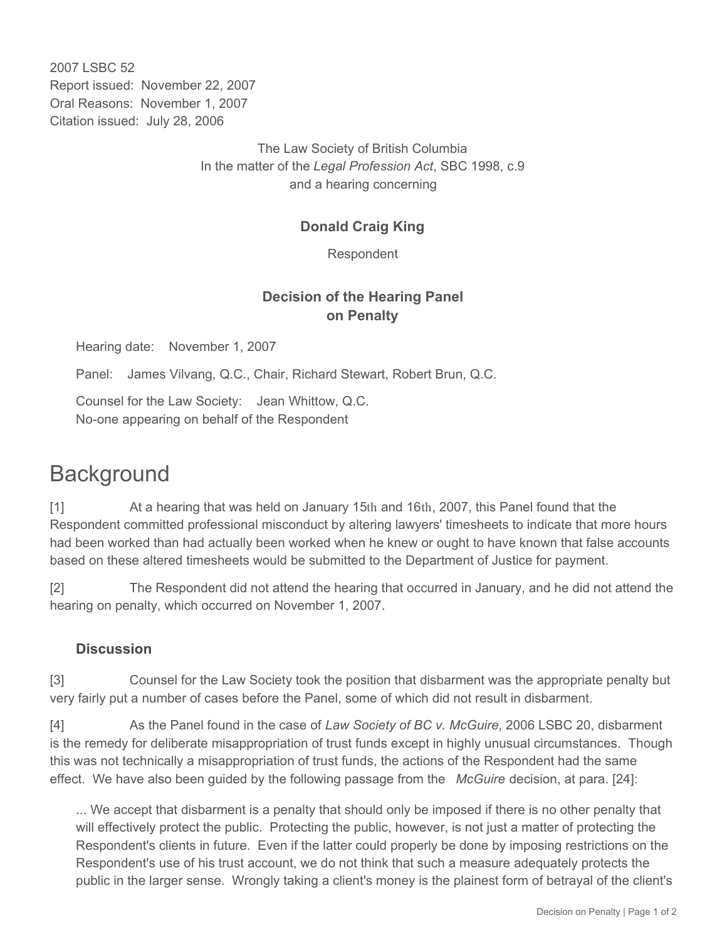2007 LSBC 52 Report issued: November 22, 2007 Oral Reasons: November 1, 2007 Citation issued: July 28, 2006

> The Law Society of British Columbia In the matter of the *Legal Profession Act*, SBC 1998, c.9 and a hearing concerning

### **Donald Craig King**

Respondent

## **Decision of the Hearing Panel on Penalty**

Hearing date: November 1, 2007

Panel: James Vilvang, Q.C., Chair, Richard Stewart, Robert Brun, Q.C.

Counsel for the Law Society: Jean Whittow, Q.C. No-one appearing on behalf of the Respondent

# **Background**

[1] At a hearing that was held on January 15th and 16th, 2007, this Panel found that the Respondent committed professional misconduct by altering lawyers' timesheets to indicate that more hours had been worked than had actually been worked when he knew or ought to have known that false accounts based on these altered timesheets would be submitted to the Department of Justice for payment.

[2] The Respondent did not attend the hearing that occurred in January, and he did not attend the hearing on penalty, which occurred on November 1, 2007.

#### **Discussion**

[3] Counsel for the Law Society took the position that disbarment was the appropriate penalty but very fairly put a number of cases before the Panel, some of which did not result in disbarment.

[4] As the Panel found in the case of *Law Society of BC v. McGuire*, 2006 LSBC 20, disbarment is the remedy for deliberate misappropriation of trust funds except in highly unusual circumstances. Though this was not technically a misappropriation of trust funds, the actions of the Respondent had the same effect. We have also been guided by the following passage from the *McGuire* decision, at para. [24]:

... We accept that disbarment is a penalty that should only be imposed if there is no other penalty that will effectively protect the public. Protecting the public, however, is not just a matter of protecting the Respondent's clients in future. Even if the latter could properly be done by imposing restrictions on the Respondent's use of his trust account, we do not think that such a measure adequately protects the public in the larger sense. Wrongly taking a client's money is the plainest form of betrayal of the client's